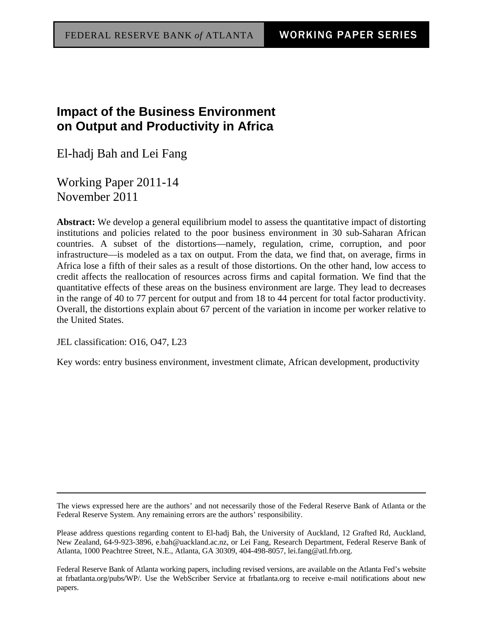## **Impact of the Business Environment on Output and Productivity in Africa**

El-hadj Bah and Lei Fang

Working Paper 2011-14 November 2011

**Abstract:** We develop a general equilibrium model to assess the quantitative impact of distorting institutions and policies related to the poor business environment in 30 sub-Saharan African countries. A subset of the distortions—namely, regulation, crime, corruption, and poor infrastructure—is modeled as a tax on output. From the data, we find that, on average, firms in Africa lose a fifth of their sales as a result of those distortions. On the other hand, low access to credit affects the reallocation of resources across firms and capital formation. We find that the quantitative effects of these areas on the business environment are large. They lead to decreases in the range of 40 to 77 percent for output and from 18 to 44 percent for total factor productivity. Overall, the distortions explain about 67 percent of the variation in income per worker relative to the United States.

JEL classification: O16, O47, L23

Key words: entry business environment, investment climate, African development, productivity

The views expressed here are the authors' and not necessarily those of the Federal Reserve Bank of Atlanta or the Federal Reserve System. Any remaining errors are the authors' responsibility.

Please address questions regarding content to El-hadj Bah, the University of Auckland, 12 Grafted Rd, Auckland, New Zealand, 64-9-923-3896, e.bah@uackland.ac.nz, or Lei Fang, Research Department, Federal Reserve Bank of Atlanta, 1000 Peachtree Street, N.E., Atlanta, GA 30309, 404-498-8057, lei.fang@atl.frb.org.

Federal Reserve Bank of Atlanta working papers, including revised versions, are available on the Atlanta Fed's website at frbatlanta.org/pubs/WP/. Use the WebScriber Service at frbatlanta.org to receive e-mail notifications about new papers.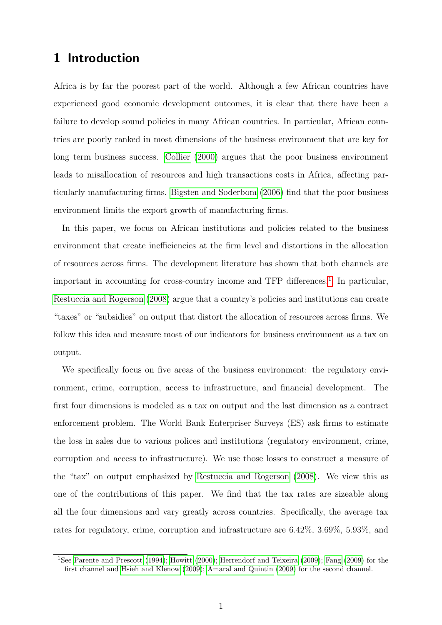## 1 Introduction

Africa is by far the poorest part of the world. Although a few African countries have experienced good economic development outcomes, it is clear that there have been a failure to develop sound policies in many African countries. In particular, African countries are poorly ranked in most dimensions of the business environment that are key for long term business success. [Collier](#page-20-0) [\(2000\)](#page-20-0) argues that the poor business environment leads to misallocation of resources and high transactions costs in Africa, affecting particularly manufacturing firms. [Bigsten and Soderbom](#page-19-0) [\(2006\)](#page-19-0) find that the poor business environment limits the export growth of manufacturing firms.

In this paper, we focus on African institutions and policies related to the business environment that create inefficiencies at the firm level and distortions in the allocation of resources across firms. The development literature has shown that both channels are important in accounting for cross-country income and TFP differences.<sup>[1](#page-1-0)</sup> In particular, [Restuccia and Rogerson](#page-22-0) [\(2008\)](#page-22-0) argue that a country's policies and institutions can create "taxes" or "subsidies" on output that distort the allocation of resources across firms. We follow this idea and measure most of our indicators for business environment as a tax on output.

We specifically focus on five areas of the business environment: the regulatory environment, crime, corruption, access to infrastructure, and financial development. The first four dimensions is modeled as a tax on output and the last dimension as a contract enforcement problem. The World Bank Enterpriser Surveys (ES) ask firms to estimate the loss in sales due to various polices and institutions (regulatory environment, crime, corruption and access to infrastructure). We use those losses to construct a measure of the "tax" on output emphasized by [Restuccia and Rogerson](#page-22-0) [\(2008\)](#page-22-0). We view this as one of the contributions of this paper. We find that the tax rates are sizeable along all the four dimensions and vary greatly across countries. Specifically, the average tax rates for regulatory, crime, corruption and infrastructure are 6.42%, 3.69%, 5.93%, and

<span id="page-1-0"></span><sup>&</sup>lt;sup>1</sup>See [Parente and Prescott](#page-21-0) [\(1994\)](#page-21-0); [Howitt](#page-20-1) [\(2000\)](#page-20-1); [Herrendorf and Teixeira](#page-20-2) [\(2009\)](#page-20-3); [Fang](#page-20-3) (2009) for the first channel and [Hsieh and Klenow](#page-21-1) [\(2009\)](#page-21-1); [Amaral and Quintin](#page-19-1) [\(2009\)](#page-19-1) for the second channel.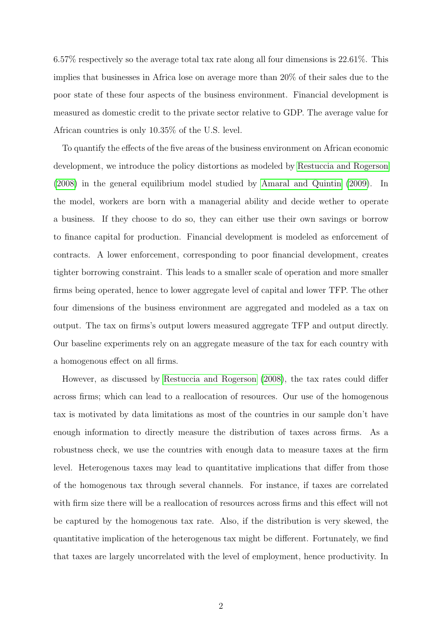6.57% respectively so the average total tax rate along all four dimensions is 22.61%. This implies that businesses in Africa lose on average more than 20% of their sales due to the poor state of these four aspects of the business environment. Financial development is measured as domestic credit to the private sector relative to GDP. The average value for African countries is only 10.35% of the U.S. level.

To quantify the effects of the five areas of the business environment on African economic development, we introduce the policy distortions as modeled by [Restuccia and Rogerson](#page-22-0) [\(2008\)](#page-22-0) in the general equilibrium model studied by [Amaral and Quintin](#page-19-1) [\(2009\)](#page-19-1). In the model, workers are born with a managerial ability and decide wether to operate a business. If they choose to do so, they can either use their own savings or borrow to finance capital for production. Financial development is modeled as enforcement of contracts. A lower enforcement, corresponding to poor financial development, creates tighter borrowing constraint. This leads to a smaller scale of operation and more smaller firms being operated, hence to lower aggregate level of capital and lower TFP. The other four dimensions of the business environment are aggregated and modeled as a tax on output. The tax on firms's output lowers measured aggregate TFP and output directly. Our baseline experiments rely on an aggregate measure of the tax for each country with a homogenous effect on all firms.

However, as discussed by [Restuccia and Rogerson](#page-22-0) [\(2008\)](#page-22-0), the tax rates could differ across firms; which can lead to a reallocation of resources. Our use of the homogenous tax is motivated by data limitations as most of the countries in our sample don't have enough information to directly measure the distribution of taxes across firms. As a robustness check, we use the countries with enough data to measure taxes at the firm level. Heterogenous taxes may lead to quantitative implications that differ from those of the homogenous tax through several channels. For instance, if taxes are correlated with firm size there will be a reallocation of resources across firms and this effect will not be captured by the homogenous tax rate. Also, if the distribution is very skewed, the quantitative implication of the heterogenous tax might be different. Fortunately, we find that taxes are largely uncorrelated with the level of employment, hence productivity. In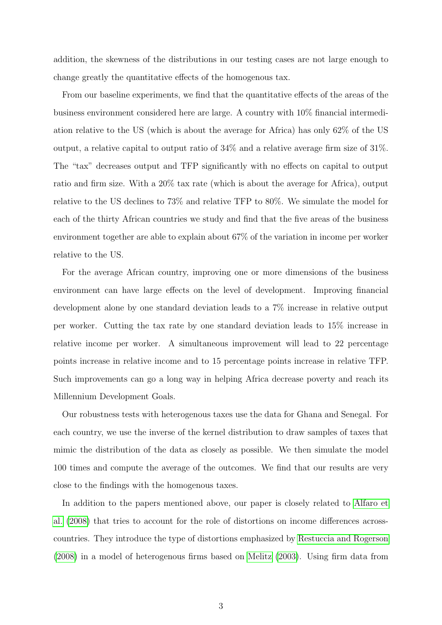addition, the skewness of the distributions in our testing cases are not large enough to change greatly the quantitative effects of the homogenous tax.

From our baseline experiments, we find that the quantitative effects of the areas of the business environment considered here are large. A country with 10% financial intermediation relative to the US (which is about the average for Africa) has only 62% of the US output, a relative capital to output ratio of 34% and a relative average firm size of 31%. The "tax" decreases output and TFP significantly with no effects on capital to output ratio and firm size. With a 20% tax rate (which is about the average for Africa), output relative to the US declines to 73% and relative TFP to 80%. We simulate the model for each of the thirty African countries we study and find that the five areas of the business environment together are able to explain about 67% of the variation in income per worker relative to the US.

For the average African country, improving one or more dimensions of the business environment can have large effects on the level of development. Improving financial development alone by one standard deviation leads to a 7% increase in relative output per worker. Cutting the tax rate by one standard deviation leads to 15% increase in relative income per worker. A simultaneous improvement will lead to 22 percentage points increase in relative income and to 15 percentage points increase in relative TFP. Such improvements can go a long way in helping Africa decrease poverty and reach its Millennium Development Goals.

Our robustness tests with heterogenous taxes use the data for Ghana and Senegal. For each country, we use the inverse of the kernel distribution to draw samples of taxes that mimic the distribution of the data as closely as possible. We then simulate the model 100 times and compute the average of the outcomes. We find that our results are very close to the findings with the homogenous taxes.

In addition to the papers mentioned above, our paper is closely related to [Alfaro et](#page-19-2) [al.](#page-19-2) [\(2008\)](#page-19-2) that tries to account for the role of distortions on income differences acrosscountries. They introduce the type of distortions emphasized by [Restuccia and Rogerson](#page-22-0) [\(2008\)](#page-22-0) in a model of heterogenous firms based on [Melitz](#page-21-2) [\(2003\)](#page-21-2). Using firm data from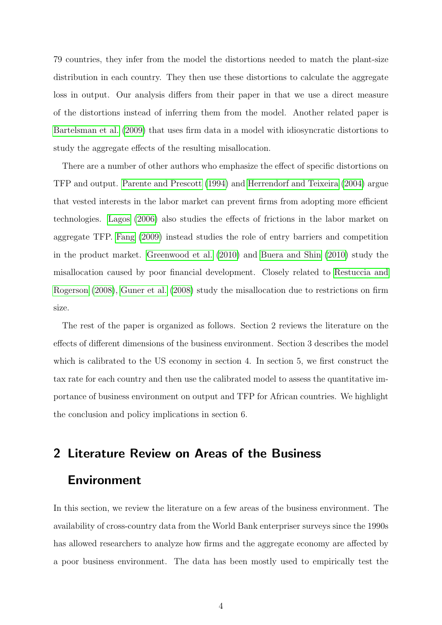79 countries, they infer from the model the distortions needed to match the plant-size distribution in each country. They then use these distortions to calculate the aggregate loss in output. Our analysis differs from their paper in that we use a direct measure of the distortions instead of inferring them from the model. Another related paper is [Bartelsman et al.](#page-19-3) [\(2009\)](#page-19-3) that uses firm data in a model with idiosyncratic distortions to study the aggregate effects of the resulting misallocation.

There are a number of other authors who emphasize the effect of specific distortions on TFP and output. [Parente and Prescott](#page-21-0) [\(1994\)](#page-21-0) and [Herrendorf and Teixeira](#page-20-4) [\(2004\)](#page-20-4) argue that vested interests in the labor market can prevent firms from adopting more efficient technologies. [Lagos](#page-21-3) [\(2006\)](#page-21-3) also studies the effects of frictions in the labor market on aggregate TFP. [Fang](#page-20-3) [\(2009\)](#page-20-3) instead studies the role of entry barriers and competition in the product market. [Greenwood et al.](#page-20-5) [\(2010\)](#page-20-5) and [Buera and Shin](#page-19-4) [\(2010\)](#page-19-4) study the misallocation caused by poor financial development. Closely related to [Restuccia and](#page-22-0) [Rogerson](#page-22-0) [\(2008\)](#page-22-0), [Guner et al.](#page-20-6) [\(2008\)](#page-20-6) study the misallocation due to restrictions on firm size.

The rest of the paper is organized as follows. Section 2 reviews the literature on the effects of different dimensions of the business environment. Section 3 describes the model which is calibrated to the US economy in section 4. In section 5, we first construct the tax rate for each country and then use the calibrated model to assess the quantitative importance of business environment on output and TFP for African countries. We highlight the conclusion and policy implications in section 6.

# 2 Literature Review on Areas of the Business Environment

In this section, we review the literature on a few areas of the business environment. The availability of cross-country data from the World Bank enterpriser surveys since the 1990s has allowed researchers to analyze how firms and the aggregate economy are affected by a poor business environment. The data has been mostly used to empirically test the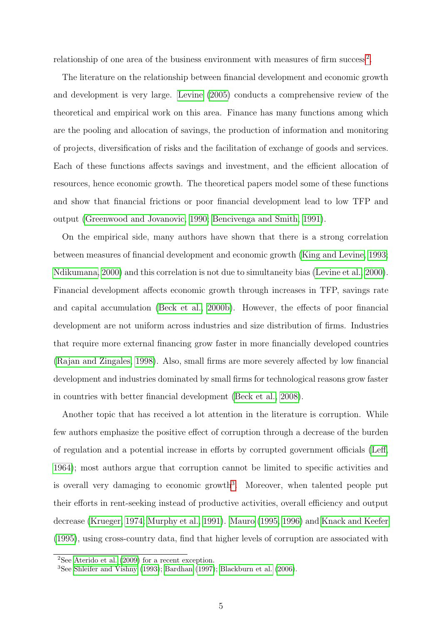relationship of one area of the business environment with measures of firm success<sup>[2](#page-5-0)</sup>.

The literature on the relationship between financial development and economic growth and development is very large. [Levine](#page-21-4) [\(2005\)](#page-21-4) conducts a comprehensive review of the theoretical and empirical work on this area. Finance has many functions among which are the pooling and allocation of savings, the production of information and monitoring of projects, diversification of risks and the facilitation of exchange of goods and services. Each of these functions affects savings and investment, and the efficient allocation of resources, hence economic growth. The theoretical papers model some of these functions and show that financial frictions or poor financial development lead to low TFP and output [\(Greenwood and Jovanovic, 1990;](#page-20-7) [Bencivenga and Smith, 1991\)](#page-19-5).

On the empirical side, many authors have shown that there is a strong correlation between measures of financial development and economic growth [\(King and Levine, 1993;](#page-21-5) [Ndikumana, 2000\)](#page-21-6) and this correlation is not due to simultaneity bias [\(Levine et al., 2000\)](#page-21-7). Financial development affects economic growth through increases in TFP, savings rate and capital accumulation [\(Beck et al., 2000b\)](#page-19-6). However, the effects of poor financial development are not uniform across industries and size distribution of firms. Industries that require more external financing grow faster in more financially developed countries [\(Rajan and Zingales, 1998\)](#page-22-1). Also, small firms are more severely affected by low financial development and industries dominated by small firms for technological reasons grow faster in countries with better financial development [\(Beck et al., 2008\)](#page-19-7).

Another topic that has received a lot attention in the literature is corruption. While few authors emphasize the positive effect of corruption through a decrease of the burden of regulation and a potential increase in efforts by corrupted government officials [\(Leff,](#page-21-8) [1964\)](#page-21-8); most authors argue that corruption cannot be limited to specific activities and is overall very damaging to economic growth<sup>[3](#page-5-1)</sup>. Moreover, when talented people put their efforts in rent-seeking instead of productive activities, overall efficiency and output decrease [\(Krueger, 1974;](#page-21-9) [Murphy et al., 1991\)](#page-21-10). [Mauro](#page-21-11) [\(1995,](#page-21-11) [1996\)](#page-21-12) and [Knack and Keefer](#page-21-13) [\(1995\)](#page-21-13), using cross-country data, find that higher levels of corruption are associated with

<span id="page-5-0"></span> $2$ See [Aterido et al.](#page-19-8) [\(2009\)](#page-19-8) for a recent exception.

<span id="page-5-1"></span><sup>3</sup>See [Shleifer and Vishny](#page-22-2) [\(1993\)](#page-22-2); [Bardhan](#page-19-9) [\(1997\)](#page-19-9); [Blackburn et al.](#page-19-10) [\(2006\)](#page-19-10).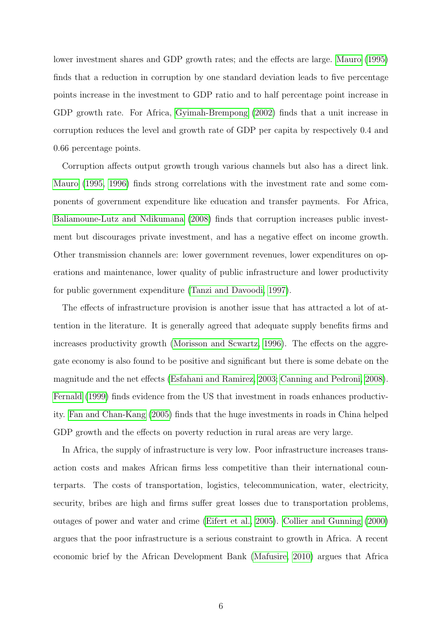lower investment shares and GDP growth rates; and the effects are large. [Mauro](#page-21-11) [\(1995\)](#page-21-11) finds that a reduction in corruption by one standard deviation leads to five percentage points increase in the investment to GDP ratio and to half percentage point increase in GDP growth rate. For Africa, [Gyimah-Brempong](#page-20-8) [\(2002\)](#page-20-8) finds that a unit increase in corruption reduces the level and growth rate of GDP per capita by respectively 0.4 and 0.66 percentage points.

Corruption affects output growth trough various channels but also has a direct link. [Mauro](#page-21-11) [\(1995,](#page-21-11) [1996\)](#page-21-12) finds strong correlations with the investment rate and some components of government expenditure like education and transfer payments. For Africa, [Baliamoune-Lutz and Ndikumana](#page-19-11) [\(2008\)](#page-19-11) finds that corruption increases public investment but discourages private investment, and has a negative effect on income growth. Other transmission channels are: lower government revenues, lower expenditures on operations and maintenance, lower quality of public infrastructure and lower productivity for public government expenditure [\(Tanzi and Davoodi, 1997\)](#page-22-3).

The effects of infrastructure provision is another issue that has attracted a lot of attention in the literature. It is generally agreed that adequate supply benefits firms and increases productivity growth [\(Morisson and Scwartz, 1996\)](#page-21-14). The effects on the aggregate economy is also found to be positive and significant but there is some debate on the magnitude and the net effects [\(Esfahani and Ramirez, 2003;](#page-20-9) [Canning and Pedroni, 2008\)](#page-20-10). [Fernald](#page-20-11) [\(1999\)](#page-20-11) finds evidence from the US that investment in roads enhances productivity. [Fan and Chan-Kang](#page-20-12) [\(2005\)](#page-20-12) finds that the huge investments in roads in China helped GDP growth and the effects on poverty reduction in rural areas are very large.

In Africa, the supply of infrastructure is very low. Poor infrastructure increases transaction costs and makes African firms less competitive than their international counterparts. The costs of transportation, logistics, telecommunication, water, electricity, security, bribes are high and firms suffer great losses due to transportation problems, outages of power and water and crime [\(Eifert et al., 2005\)](#page-20-13). [Collier and Gunning](#page-20-14) [\(2000\)](#page-20-14) argues that the poor infrastructure is a serious constraint to growth in Africa. A recent economic brief by the African Development Bank [\(Mafusire, 2010\)](#page-21-15) argues that Africa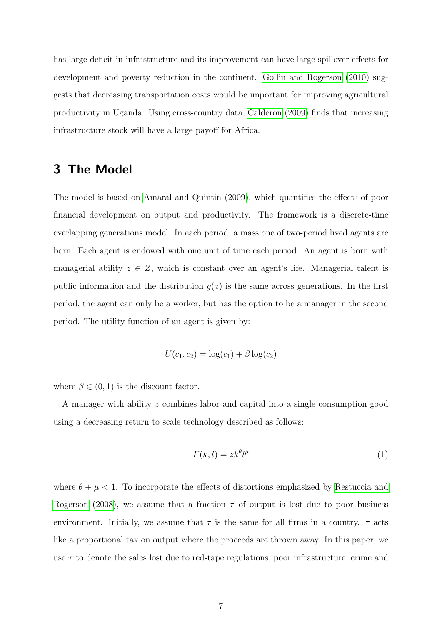has large deficit in infrastructure and its improvement can have large spillover effects for development and poverty reduction in the continent. [Gollin and Rogerson](#page-20-15) [\(2010\)](#page-20-15) suggests that decreasing transportation costs would be important for improving agricultural productivity in Uganda. Using cross-country data, [Calderon](#page-19-12) [\(2009\)](#page-19-12) finds that increasing infrastructure stock will have a large payoff for Africa.

## 3 The Model

The model is based on [Amaral and Quintin](#page-19-1) [\(2009\)](#page-19-1), which quantifies the effects of poor financial development on output and productivity. The framework is a discrete-time overlapping generations model. In each period, a mass one of two-period lived agents are born. Each agent is endowed with one unit of time each period. An agent is born with managerial ability  $z \in Z$ , which is constant over an agent's life. Managerial talent is public information and the distribution  $g(z)$  is the same across generations. In the first period, the agent can only be a worker, but has the option to be a manager in the second period. The utility function of an agent is given by:

$$
U(c_1, c_2) = \log(c_1) + \beta \log(c_2)
$$

where  $\beta \in (0, 1)$  is the discount factor.

A manager with ability z combines labor and capital into a single consumption good using a decreasing return to scale technology described as follows:

$$
F(k,l) = zk^{\theta}l^{\mu} \tag{1}
$$

where  $\theta + \mu < 1$ . To incorporate the effects of distortions emphasized by [Restuccia and](#page-22-0) [Rogerson](#page-22-0) [\(2008\)](#page-22-0), we assume that a fraction  $\tau$  of output is lost due to poor business environment. Initially, we assume that  $\tau$  is the same for all firms in a country.  $\tau$  acts like a proportional tax on output where the proceeds are thrown away. In this paper, we use  $\tau$  to denote the sales lost due to red-tape regulations, poor infrastructure, crime and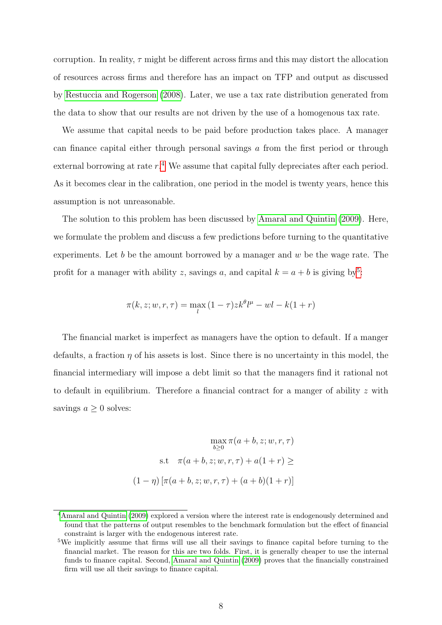corruption. In reality,  $\tau$  might be different across firms and this may distort the allocation of resources across firms and therefore has an impact on TFP and output as discussed by [Restuccia and Rogerson](#page-22-0) [\(2008\)](#page-22-0). Later, we use a tax rate distribution generated from the data to show that our results are not driven by the use of a homogenous tax rate.

We assume that capital needs to be paid before production takes place. A manager can finance capital either through personal savings a from the first period or through external borrowing at rate  $r^4$  $r^4$ . We assume that capital fully depreciates after each period. As it becomes clear in the calibration, one period in the model is twenty years, hence this assumption is not unreasonable.

The solution to this problem has been discussed by [Amaral and Quintin](#page-19-1) [\(2009\)](#page-19-1). Here, we formulate the problem and discuss a few predictions before turning to the quantitative experiments. Let  $b$  be the amount borrowed by a manager and  $w$  be the wage rate. The profit for a manager with ability z, savings a, and capital  $k = a + b$  is giving by<sup>[5](#page-8-1)</sup>:

$$
\pi(k, z; w, r, \tau) = \max_{l} (1 - \tau) z k^{\theta} l^{\mu} - w l - k(1 + r)
$$

The financial market is imperfect as managers have the option to default. If a manger defaults, a fraction  $\eta$  of his assets is lost. Since there is no uncertainty in this model, the financial intermediary will impose a debt limit so that the managers find it rational not to default in equilibrium. Therefore a financial contract for a manger of ability z with savings  $a \geq 0$  solves:

$$
\max_{b \ge 0} \pi(a+b, z; w, r, \tau)
$$
  
s.t  $\pi(a+b, z; w, r, \tau) + a(1+r) \ge$   

$$
(1-\eta) [\pi(a+b, z; w, r, \tau) + (a+b)(1+r)]
$$

<span id="page-8-0"></span><sup>4</sup>[Amaral and Quintin](#page-19-1) [\(2009\)](#page-19-1) explored a version where the interest rate is endogenously determined and found that the patterns of output resembles to the benchmark formulation but the effect of financial constraint is larger with the endogenous interest rate.

<span id="page-8-1"></span><sup>5</sup>We implicitly assume that firms will use all their savings to finance capital before turning to the financial market. The reason for this are two folds. First, it is generally cheaper to use the internal funds to finance capital. Second, [Amaral and Quintin](#page-19-1) [\(2009\)](#page-19-1) proves that the financially constrained firm will use all their savings to finance capital.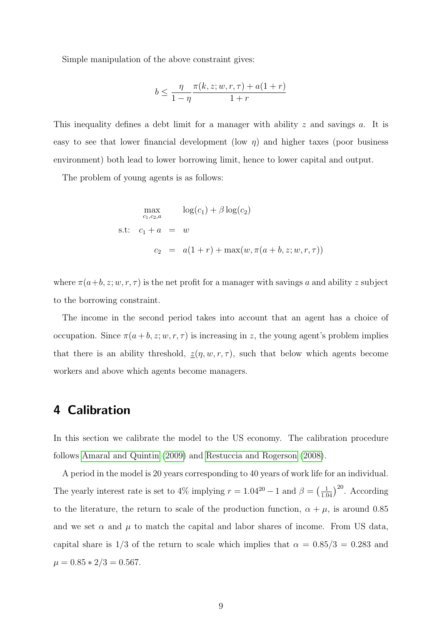Simple manipulation of the above constraint gives:

$$
b \le \frac{\eta}{1-\eta} \frac{\pi(k, z; w, r, \tau) + a(1+r)}{1+r}
$$

This inequality defines a debt limit for a manager with ability  $z$  and savings  $a$ . It is easy to see that lower financial development (low  $\eta$ ) and higher taxes (poor business environment) both lead to lower borrowing limit, hence to lower capital and output.

The problem of young agents is as follows:

$$
\max_{c_1, c_2, a} \log(c_1) + \beta \log(c_2)
$$
  
s.t:  $c_1 + a = w$   

$$
c_2 = a(1+r) + \max(w, \pi(a+b, z; w, r, \tau))
$$

where  $\pi(a+b, z; w, r, \tau)$  is the net profit for a manager with savings a and ability z subject to the borrowing constraint.

The income in the second period takes into account that an agent has a choice of occupation. Since  $\pi(a + b, z; w, r, \tau)$  is increasing in z, the young agent's problem implies that there is an ability threshold,  $\underline{z}(\eta, w, r, \tau)$ , such that below which agents become workers and above which agents become managers.

### 4 Calibration

In this section we calibrate the model to the US economy. The calibration procedure follows [Amaral and Quintin](#page-19-1) [\(2009\)](#page-19-1) and [Restuccia and Rogerson](#page-22-0) [\(2008\)](#page-22-0).

A period in the model is 20 years corresponding to 40 years of work life for an individual. The yearly interest rate is set to 4% implying  $r = 1.04^{20} - 1$  and  $\beta = \left(\frac{1}{1.04}\right)^{20}$ . According to the literature, the return to scale of the production function,  $\alpha + \mu$ , is around 0.85 and we set  $\alpha$  and  $\mu$  to match the capital and labor shares of income. From US data, capital share is  $1/3$  of the return to scale which implies that  $\alpha = 0.85/3 = 0.283$  and  $\mu = 0.85 * 2/3 = 0.567.$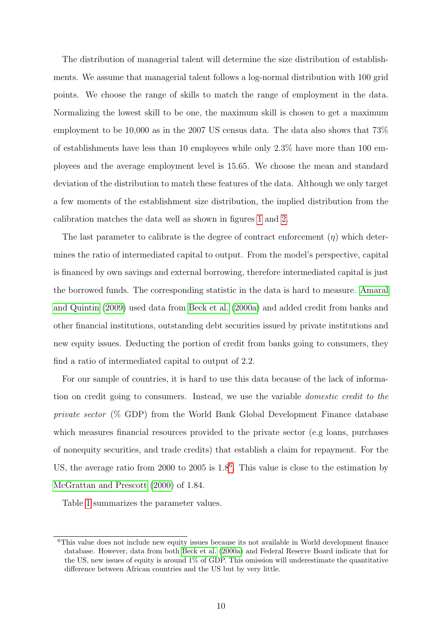The distribution of managerial talent will determine the size distribution of establishments. We assume that managerial talent follows a log-normal distribution with 100 grid points. We choose the range of skills to match the range of employment in the data. Normalizing the lowest skill to be one, the maximum skill is chosen to get a maximum employment to be 10,000 as in the 2007 US census data. The data also shows that 73% of establishments have less than 10 employees while only 2.3% have more than 100 employees and the average employment level is 15.65. We choose the mean and standard deviation of the distribution to match these features of the data. Although we only target a few moments of the establishment size distribution, the implied distribution from the calibration matches the data well as shown in figures [1](#page-26-0) and [2.](#page-27-0)

The last parameter to calibrate is the degree of contract enforcement  $(\eta)$  which determines the ratio of intermediated capital to output. From the model's perspective, capital is financed by own savings and external borrowing, therefore intermediated capital is just the borrowed funds. The corresponding statistic in the data is hard to measure. [Amaral](#page-19-1) [and Quintin](#page-19-1) [\(2009\)](#page-19-1) used data from [Beck et al.](#page-19-13) [\(2000a\)](#page-19-13) and added credit from banks and other financial institutions, outstanding debt securities issued by private institutions and new equity issues. Deducting the portion of credit from banks going to consumers, they find a ratio of intermediated capital to output of 2.2.

For our sample of countries, it is hard to use this data because of the lack of information on credit going to consumers. Instead, we use the variable domestic credit to the private sector (% GDP) from the World Bank Global Development Finance database which measures financial resources provided to the private sector (e.g loans, purchases of nonequity securities, and trade credits) that establish a claim for repayment. For the US, the average ratio from 2000 to 2005 is  $1.8<sup>6</sup>$  $1.8<sup>6</sup>$  $1.8<sup>6</sup>$ . This value is close to the estimation by [McGrattan and Prescott](#page-21-16) [\(2000\)](#page-21-16) of 1.84.

Table [1](#page-23-0) summarizes the parameter values.

<span id="page-10-0"></span><sup>&</sup>lt;sup>6</sup>This value does not include new equity issues because its not available in World development finance database. However, data from both [Beck et al.](#page-19-13) [\(2000a\)](#page-19-13) and Federal Reserve Board indicate that for the US, new issues of equity is around  $1\%$  of GDP. This omission will underestimate the quantitative difference between African countries and the US but by very little.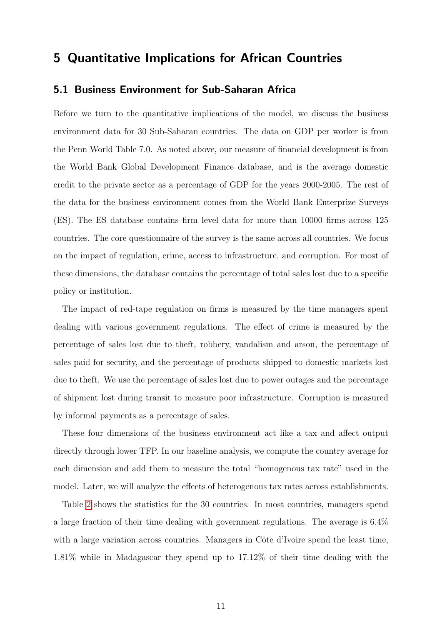## 5 Quantitative Implications for African Countries

#### 5.1 Business Environment for Sub-Saharan Africa

Before we turn to the quantitative implications of the model, we discuss the business environment data for 30 Sub-Saharan countries. The data on GDP per worker is from the Penn World Table 7.0. As noted above, our measure of financial development is from the World Bank Global Development Finance database, and is the average domestic credit to the private sector as a percentage of GDP for the years 2000-2005. The rest of the data for the business environment comes from the World Bank Enterprize Surveys (ES). The ES database contains firm level data for more than 10000 firms across 125 countries. The core questionnaire of the survey is the same across all countries. We focus on the impact of regulation, crime, access to infrastructure, and corruption. For most of these dimensions, the database contains the percentage of total sales lost due to a specific policy or institution.

The impact of red-tape regulation on firms is measured by the time managers spent dealing with various government regulations. The effect of crime is measured by the percentage of sales lost due to theft, robbery, vandalism and arson, the percentage of sales paid for security, and the percentage of products shipped to domestic markets lost due to theft. We use the percentage of sales lost due to power outages and the percentage of shipment lost during transit to measure poor infrastructure. Corruption is measured by informal payments as a percentage of sales.

These four dimensions of the business environment act like a tax and affect output directly through lower TFP. In our baseline analysis, we compute the country average for each dimension and add them to measure the total "homogenous tax rate" used in the model. Later, we will analyze the effects of heterogenous tax rates across establishments.

Table [2](#page-23-1) shows the statistics for the 30 countries. In most countries, managers spend a large fraction of their time dealing with government regulations. The average is 6.4% with a large variation across countries. Managers in Côte d'Ivoire spend the least time, 1.81% while in Madagascar they spend up to 17.12% of their time dealing with the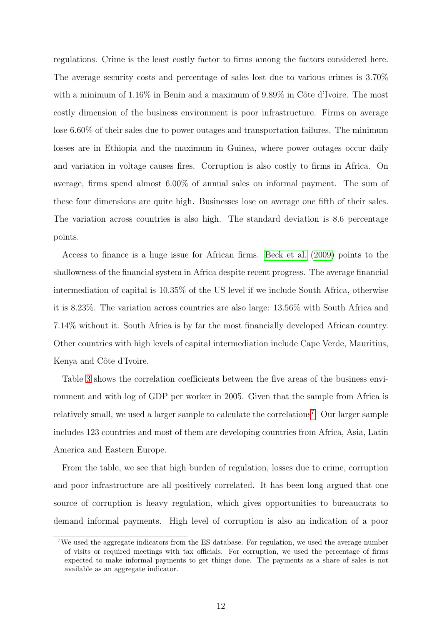regulations. Crime is the least costly factor to firms among the factors considered here. The average security costs and percentage of sales lost due to various crimes is 3.70% with a minimum of  $1.16\%$  in Benin and a maximum of  $9.89\%$  in Côte d'Ivoire. The most costly dimension of the business environment is poor infrastructure. Firms on average lose 6.60% of their sales due to power outages and transportation failures. The minimum losses are in Ethiopia and the maximum in Guinea, where power outages occur daily and variation in voltage causes fires. Corruption is also costly to firms in Africa. On average, firms spend almost 6.00% of annual sales on informal payment. The sum of these four dimensions are quite high. Businesses lose on average one fifth of their sales. The variation across countries is also high. The standard deviation is 8.6 percentage points.

Access to finance is a huge issue for African firms. [Beck et al.](#page-19-14) [\(2009\)](#page-19-14) points to the shallowness of the financial system in Africa despite recent progress. The average financial intermediation of capital is 10.35% of the US level if we include South Africa, otherwise it is 8.23%. The variation across countries are also large: 13.56% with South Africa and 7.14% without it. South Africa is by far the most financially developed African country. Other countries with high levels of capital intermediation include Cape Verde, Mauritius, Kenya and Côte d'Ivoire.

Table [3](#page-24-0) shows the correlation coefficients between the five areas of the business environment and with log of GDP per worker in 2005. Given that the sample from Africa is relatively small, we used a larger sample to calculate the correlations<sup>[7](#page-12-0)</sup>. Our larger sample includes 123 countries and most of them are developing countries from Africa, Asia, Latin America and Eastern Europe.

From the table, we see that high burden of regulation, losses due to crime, corruption and poor infrastructure are all positively correlated. It has been long argued that one source of corruption is heavy regulation, which gives opportunities to bureaucrats to demand informal payments. High level of corruption is also an indication of a poor

<span id="page-12-0"></span><sup>7</sup>We used the aggregate indicators from the ES database. For regulation, we used the average number of visits or required meetings with tax officials. For corruption, we used the percentage of firms expected to make informal payments to get things done. The payments as a share of sales is not available as an aggregate indicator.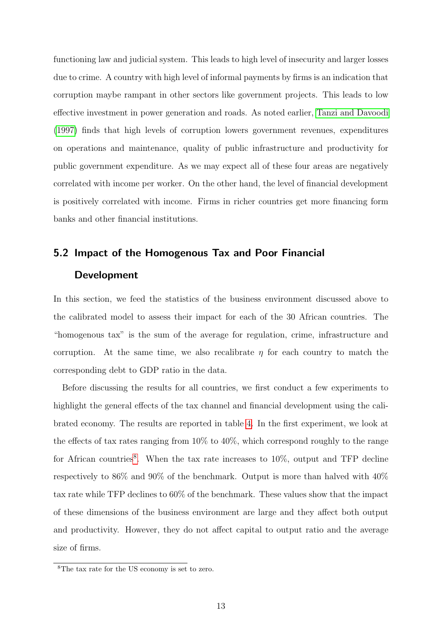functioning law and judicial system. This leads to high level of insecurity and larger losses due to crime. A country with high level of informal payments by firms is an indication that corruption maybe rampant in other sectors like government projects. This leads to low effective investment in power generation and roads. As noted earlier, [Tanzi and Davoodi](#page-22-3) [\(1997\)](#page-22-3) finds that high levels of corruption lowers government revenues, expenditures on operations and maintenance, quality of public infrastructure and productivity for public government expenditure. As we may expect all of these four areas are negatively correlated with income per worker. On the other hand, the level of financial development is positively correlated with income. Firms in richer countries get more financing form banks and other financial institutions.

## 5.2 Impact of the Homogenous Tax and Poor Financial Development

In this section, we feed the statistics of the business environment discussed above to the calibrated model to assess their impact for each of the 30 African countries. The "homogenous tax" is the sum of the average for regulation, crime, infrastructure and corruption. At the same time, we also recalibrate  $\eta$  for each country to match the corresponding debt to GDP ratio in the data.

Before discussing the results for all countries, we first conduct a few experiments to highlight the general effects of the tax channel and financial development using the calibrated economy. The results are reported in table [4.](#page-24-1) In the first experiment, we look at the effects of tax rates ranging from 10% to 40%, which correspond roughly to the range for African countries<sup>[8](#page-13-0)</sup>. When the tax rate increases to  $10\%$ , output and TFP decline respectively to 86% and 90% of the benchmark. Output is more than halved with 40% tax rate while TFP declines to 60% of the benchmark. These values show that the impact of these dimensions of the business environment are large and they affect both output and productivity. However, they do not affect capital to output ratio and the average size of firms.

<span id="page-13-0"></span><sup>8</sup>The tax rate for the US economy is set to zero.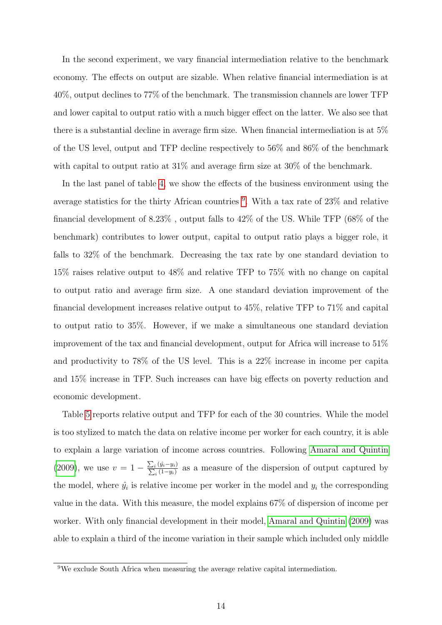In the second experiment, we vary financial intermediation relative to the benchmark economy. The effects on output are sizable. When relative financial intermediation is at 40%, output declines to 77% of the benchmark. The transmission channels are lower TFP and lower capital to output ratio with a much bigger effect on the latter. We also see that there is a substantial decline in average firm size. When financial intermediation is at 5% of the US level, output and TFP decline respectively to 56% and 86% of the benchmark with capital to output ratio at  $31\%$  and average firm size at  $30\%$  of the benchmark.

In the last panel of table [4,](#page-24-1) we show the effects of the business environment using the average statistics for the thirty African countries <sup>[9](#page-14-0)</sup>. With a tax rate of 23% and relative financial development of 8.23% , output falls to 42% of the US. While TFP (68% of the benchmark) contributes to lower output, capital to output ratio plays a bigger role, it falls to 32% of the benchmark. Decreasing the tax rate by one standard deviation to 15% raises relative output to 48% and relative TFP to 75% with no change on capital to output ratio and average firm size. A one standard deviation improvement of the financial development increases relative output to 45%, relative TFP to 71% and capital to output ratio to 35%. However, if we make a simultaneous one standard deviation improvement of the tax and financial development, output for Africa will increase to 51% and productivity to 78% of the US level. This is a 22% increase in income per capita and 15% increase in TFP. Such increases can have big effects on poverty reduction and economic development.

Table [5](#page-25-0) reports relative output and TFP for each of the 30 countries. While the model is too stylized to match the data on relative income per worker for each country, it is able to explain a large variation of income across countries. Following [Amaral and Quintin](#page-19-1)  $(2009)$ , we use  $v = 1 - \frac{\sum_i (\hat{y}_i - y_i)}{\sum_i (1 - y_i)}$  $\frac{i}{(1-y_i)}$  as a measure of the dispersion of output captured by the model, where  $\hat{y}_i$  is relative income per worker in the model and  $y_i$  the corresponding value in the data. With this measure, the model explains 67% of dispersion of income per worker. With only financial development in their model, [Amaral and Quintin](#page-19-1) [\(2009\)](#page-19-1) was able to explain a third of the income variation in their sample which included only middle

<span id="page-14-0"></span><sup>&</sup>lt;sup>9</sup>We exclude South Africa when measuring the average relative capital intermediation.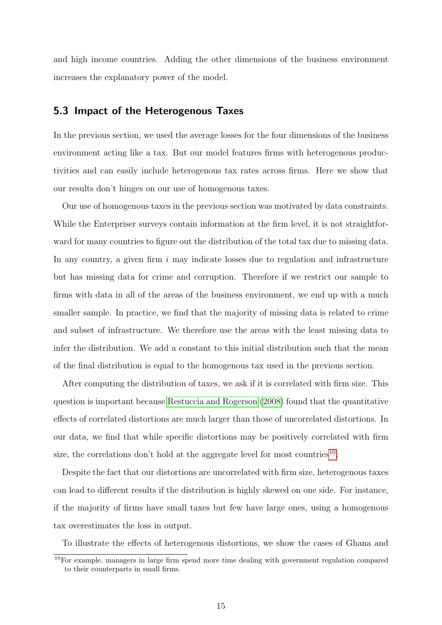and high income countries. Adding the other dimensions of the business environment increases the explanatory power of the model.

#### 5.3 Impact of the Heterogenous Taxes

In the previous section, we used the average losses for the four dimensions of the business environment acting like a tax. But our model features firms with heterogenous productivities and can easily include heterogenous tax rates across firms. Here we show that our results don't hinges on our use of homogenous taxes.

Our use of homogenous taxes in the previous section was motivated by data constraints. While the Enterpriser surveys contain information at the firm level, it is not straightforward for many countries to figure out the distribution of the total tax due to missing data. In any country, a given firm  $i$  may indicate losses due to regulation and infrastructure but has missing data for crime and corruption. Therefore if we restrict our sample to firms with data in all of the areas of the business environment, we end up with a much smaller sample. In practice, we find that the majority of missing data is related to crime and subset of infrastructure. We therefore use the areas with the least missing data to infer the distribution. We add a constant to this initial distribution such that the mean of the final distribution is equal to the homogenous tax used in the previous section.

After computing the distribution of taxes, we ask if it is correlated with firm size. This question is important because [Restuccia and Rogerson](#page-22-0) [\(2008\)](#page-22-0) found that the quantitative effects of correlated distortions are much larger than those of uncorrelated distortions. In our data, we find that while specific distortions may be positively correlated with firm size, the correlations don't hold at the aggregate level for most countries<sup>[10](#page-15-0)</sup>.

Despite the fact that our distortions are uncorrelated with firm size, heterogenous taxes can lead to different results if the distribution is highly skewed on one side. For instance, if the majority of firms have small taxes but few have large ones, using a homogenous tax overestimates the loss in output.

To illustrate the effects of heterogenous distortions, we show the cases of Ghana and

<span id="page-15-0"></span><sup>&</sup>lt;sup>10</sup>For example, managers in large firm spend more time dealing with government regulation compared to their counterparts in small firms.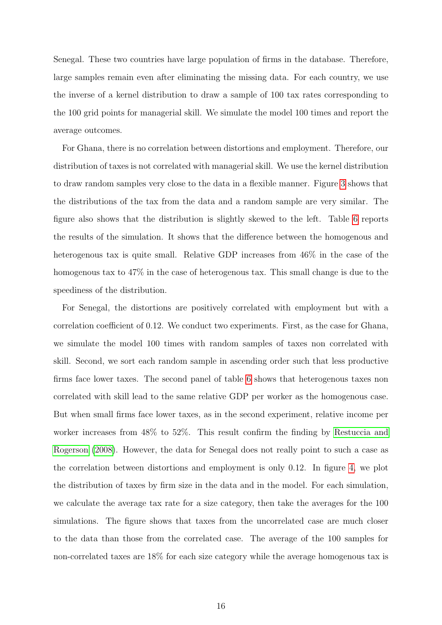Senegal. These two countries have large population of firms in the database. Therefore, large samples remain even after eliminating the missing data. For each country, we use the inverse of a kernel distribution to draw a sample of 100 tax rates corresponding to the 100 grid points for managerial skill. We simulate the model 100 times and report the average outcomes.

For Ghana, there is no correlation between distortions and employment. Therefore, our distribution of taxes is not correlated with managerial skill. We use the kernel distribution to draw random samples very close to the data in a flexible manner. Figure [3](#page-27-1) shows that the distributions of the tax from the data and a random sample are very similar. The figure also shows that the distribution is slightly skewed to the left. Table [6](#page-26-1) reports the results of the simulation. It shows that the difference between the homogenous and heterogenous tax is quite small. Relative GDP increases from  $46\%$  in the case of the homogenous tax to 47% in the case of heterogenous tax. This small change is due to the speediness of the distribution.

For Senegal, the distortions are positively correlated with employment but with a correlation coefficient of 0.12. We conduct two experiments. First, as the case for Ghana, we simulate the model 100 times with random samples of taxes non correlated with skill. Second, we sort each random sample in ascending order such that less productive firms face lower taxes. The second panel of table [6](#page-26-1) shows that heterogenous taxes non correlated with skill lead to the same relative GDP per worker as the homogenous case. But when small firms face lower taxes, as in the second experiment, relative income per worker increases from 48% to 52%. This result confirm the finding by [Restuccia and](#page-22-0) [Rogerson](#page-22-0) [\(2008\)](#page-22-0). However, the data for Senegal does not really point to such a case as the correlation between distortions and employment is only 0.12. In figure [4,](#page-28-0) we plot the distribution of taxes by firm size in the data and in the model. For each simulation, we calculate the average tax rate for a size category, then take the averages for the 100 simulations. The figure shows that taxes from the uncorrelated case are much closer to the data than those from the correlated case. The average of the 100 samples for non-correlated taxes are 18% for each size category while the average homogenous tax is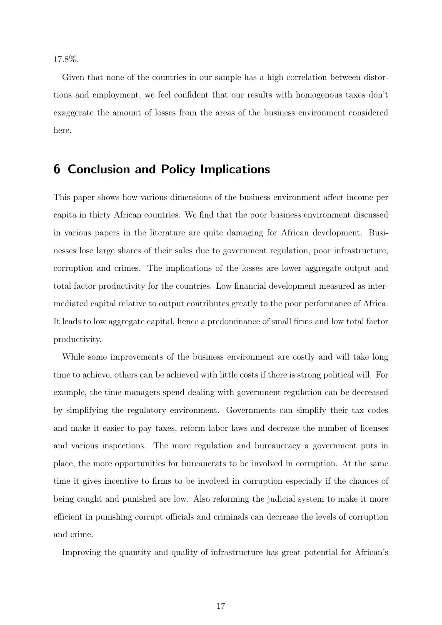17.8%.

Given that none of the countries in our sample has a high correlation between distortions and employment, we feel confident that our results with homogenous taxes don't exaggerate the amount of losses from the areas of the business environment considered here.

### 6 Conclusion and Policy Implications

This paper shows how various dimensions of the business environment affect income per capita in thirty African countries. We find that the poor business environment discussed in various papers in the literature are quite damaging for African development. Businesses lose large shares of their sales due to government regulation, poor infrastructure, corruption and crimes. The implications of the losses are lower aggregate output and total factor productivity for the countries. Low financial development measured as intermediated capital relative to output contributes greatly to the poor performance of Africa. It leads to low aggregate capital, hence a predominance of small firms and low total factor productivity.

While some improvements of the business environment are costly and will take long time to achieve, others can be achieved with little costs if there is strong political will. For example, the time managers spend dealing with government regulation can be decreased by simplifying the regulatory environment. Governments can simplify their tax codes and make it easier to pay taxes, reform labor laws and decrease the number of licenses and various inspections. The more regulation and bureaucracy a government puts in place, the more opportunities for bureaucrats to be involved in corruption. At the same time it gives incentive to firms to be involved in corruption especially if the chances of being caught and punished are low. Also reforming the judicial system to make it more efficient in punishing corrupt officials and criminals can decrease the levels of corruption and crime.

Improving the quantity and quality of infrastructure has great potential for African's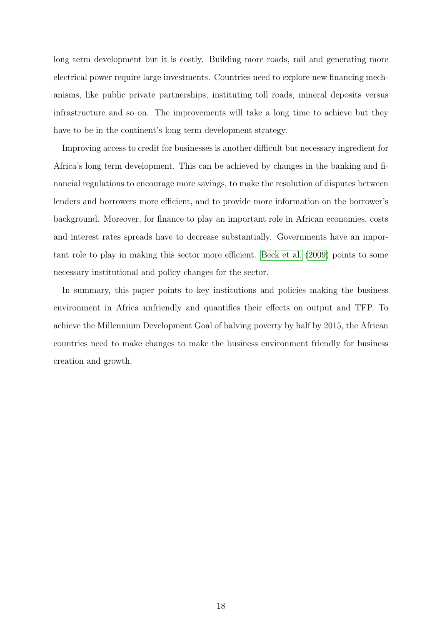long term development but it is costly. Building more roads, rail and generating more electrical power require large investments. Countries need to explore new financing mechanisms, like public private partnerships, instituting toll roads, mineral deposits versus infrastructure and so on. The improvements will take a long time to achieve but they have to be in the continent's long term development strategy.

Improving access to credit for businesses is another difficult but necessary ingredient for Africa's long term development. This can be achieved by changes in the banking and financial regulations to encourage more savings, to make the resolution of disputes between lenders and borrowers more efficient, and to provide more information on the borrower's background. Moreover, for finance to play an important role in African economies, costs and interest rates spreads have to decrease substantially. Governments have an important role to play in making this sector more efficient. [Beck et al.](#page-19-14) [\(2009\)](#page-19-14) points to some necessary institutional and policy changes for the sector.

In summary, this paper points to key institutions and policies making the business environment in Africa unfriendly and quantifies their effects on output and TFP. To achieve the Millennium Development Goal of halving poverty by half by 2015, the African countries need to make changes to make the business environment friendly for business creation and growth.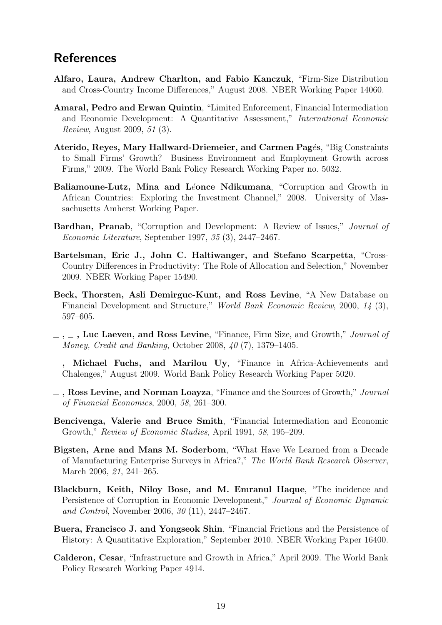## References

- <span id="page-19-2"></span>Alfaro, Laura, Andrew Charlton, and Fabio Kanczuk, "Firm-Size Distribution and Cross-Country Income Differences," August 2008. NBER Working Paper 14060.
- <span id="page-19-1"></span>Amaral, Pedro and Erwan Quintin, "Limited Enforcement, Financial Intermediation and Economic Development: A Quantitative Assessment," International Economic Review, August 2009, 51 (3).
- <span id="page-19-8"></span>Aterido, Reyes, Mary Hallward-Driemeier, and Carmen Pages, "Big Constraints to Small Firms' Growth? Business Environment and Employment Growth across Firms," 2009. The World Bank Policy Research Working Paper no. 5032.
- <span id="page-19-11"></span>Baliamoune-Lutz, Mina and Léonce Ndikumana, "Corruption and Growth in African Countries: Exploring the Investment Channel," 2008. University of Massachusetts Amherst Working Paper.
- <span id="page-19-9"></span>Bardhan, Pranab, "Corruption and Development: A Review of Issues," Journal of Economic Literature, September 1997, 35 (3), 2447–2467.
- <span id="page-19-3"></span>Bartelsman, Eric J., John C. Haltiwanger, and Stefano Scarpetta, "Cross-Country Differences in Productivity: The Role of Allocation and Selection," November 2009. NBER Working Paper 15490.
- <span id="page-19-13"></span>Beck, Thorsten, Asli Demirguc-Kunt, and Ross Levine, "A New Database on Financial Development and Structure," World Bank Economic Review, 2000, 14 (3), 597–605.
- <span id="page-19-7"></span> $\ldots$ , Luc Laeven, and Ross Levine, "Finance, Firm Size, and Growth," *Journal of* Money, Credit and Banking, October 2008, 40 (7), 1379–1405.
- <span id="page-19-14"></span>Michael Fuchs, and Marilou Uy, "Finance in Africa-Achievements and Chalenges," August 2009. World Bank Policy Research Working Paper 5020.
- <span id="page-19-6"></span> $\overline{\phantom{a}}$ , Ross Levine, and Norman Loayza, "Finance and the Sources of Growth," Journal of Financial Economics, 2000, 58, 261–300.
- <span id="page-19-5"></span>Bencivenga, Valerie and Bruce Smith, "Financial Intermediation and Economic Growth," Review of Economic Studies, April 1991, 58, 195–209.
- <span id="page-19-0"></span>Bigsten, Arne and Mans M. Soderbom, "What Have We Learned from a Decade of Manufacturing Enterprise Surveys in Africa?," The World Bank Research Observer, March 2006, 21, 241-265.
- <span id="page-19-10"></span>Blackburn, Keith, Niloy Bose, and M. Emranul Haque, "The incidence and Persistence of Corruption in Economic Development," Journal of Economic Dynamic and Control, November 2006, 30 (11), 2447–2467.
- <span id="page-19-4"></span>Buera, Francisco J. and Yongseok Shin, "Financial Frictions and the Persistence of History: A Quantitative Exploration," September 2010. NBER Working Paper 16400.
- <span id="page-19-12"></span>Calderon, Cesar, "Infrastructure and Growth in Africa," April 2009. The World Bank Policy Research Working Paper 4914.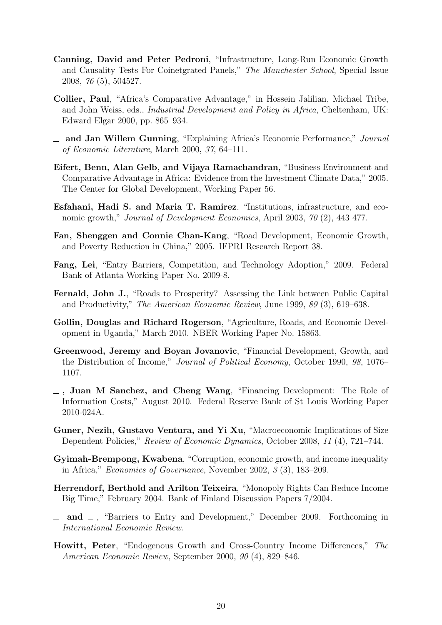- <span id="page-20-10"></span>Canning, David and Peter Pedroni, "Infrastructure, Long-Run Economic Growth and Causality Tests For Coinetgrated Panels," The Manchester School, Special Issue 2008, 76 (5), 504527.
- <span id="page-20-0"></span>Collier, Paul, "Africa's Comparative Advantage," in Hossein Jalilian, Michael Tribe, and John Weiss, eds., Industrial Development and Policy in Africa, Cheltenham, UK: Edward Elgar 2000, pp. 865–934.
- <span id="page-20-14"></span>and Jan Willem Gunning, "Explaining Africa's Economic Performance," Journal of Economic Literature, March 2000, 37, 64–111.
- <span id="page-20-13"></span>Eifert, Benn, Alan Gelb, and Vijaya Ramachandran, "Business Environment and Comparative Advantage in Africa: Evidence from the Investment Climate Data," 2005. The Center for Global Development, Working Paper 56.
- <span id="page-20-9"></span>Esfahani, Hadi S. and Maria T. Ramirez, "Institutions, infrastructure, and economic growth," Journal of Development Economics, April 2003, 70 (2), 443 477.
- <span id="page-20-12"></span>Fan, Shenggen and Connie Chan-Kang, "Road Development, Economic Growth, and Poverty Reduction in China," 2005. IFPRI Research Report 38.
- <span id="page-20-3"></span>Fang, Lei, "Entry Barriers, Competition, and Technology Adoption," 2009. Federal Bank of Atlanta Working Paper No. 2009-8.
- <span id="page-20-11"></span>Fernald, John J., "Roads to Prosperity? Assessing the Link between Public Capital and Productivity," The American Economic Review, June 1999, 89 (3), 619–638.
- <span id="page-20-15"></span>Gollin, Douglas and Richard Rogerson, "Agriculture, Roads, and Economic Development in Uganda," March 2010. NBER Working Paper No. 15863.
- <span id="page-20-7"></span>Greenwood, Jeremy and Boyan Jovanovic, "Financial Development, Growth, and the Distribution of Income," Journal of Political Economy, October 1990, 98, 1076– 1107.
- <span id="page-20-5"></span>, Juan M Sanchez, and Cheng Wang, "Financing Development: The Role of Information Costs," August 2010. Federal Reserve Bank of St Louis Working Paper 2010-024A.
- <span id="page-20-6"></span>Guner, Nezih, Gustavo Ventura, and Yi Xu, "Macroeconomic Implications of Size Dependent Policies," Review of Economic Dynamics, October 2008, 11 (4), 721–744.
- <span id="page-20-8"></span>Gyimah-Brempong, Kwabena, "Corruption, economic growth, and income inequality in Africa," Economics of Governance, November 2002, 3 (3), 183–209.
- <span id="page-20-4"></span>Herrendorf, Berthold and Arilton Teixeira, "Monopoly Rights Can Reduce Income Big Time," February 2004. Bank of Finland Discussion Papers 7/2004.
- <span id="page-20-2"></span> $\equiv$  and  $\equiv$ , "Barriers to Entry and Development," December 2009. Forthcoming in International Economic Review.
- <span id="page-20-1"></span>Howitt, Peter, "Endogenous Growth and Cross-Country Income Differences," The American Economic Review, September 2000, 90 (4), 829–846.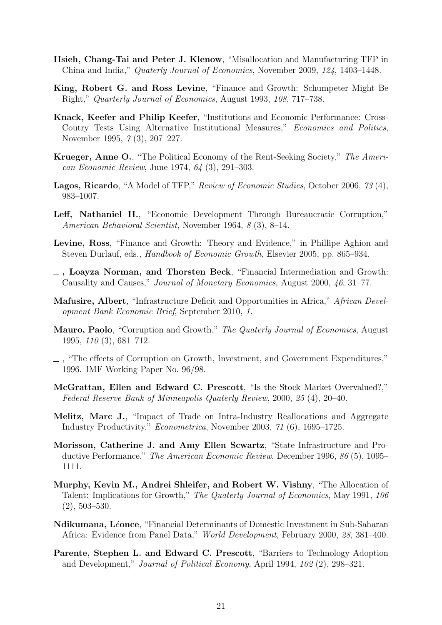- <span id="page-21-1"></span>Hsieh, Chang-Tai and Peter J. Klenow, "Misallocation and Manufacturing TFP in China and India," Quaterly Journal of Economics, November 2009, 124, 1403–1448.
- <span id="page-21-5"></span>King, Robert G. and Ross Levine, "Finance and Growth: Schumpeter Might Be Right," Quarterly Journal of Economics, August 1993, 108, 717–738.
- <span id="page-21-13"></span>Knack, Keefer and Philip Keefer, "Institutions and Economic Performance: Cross-Coutry Tests Using Alternative Institutional Measures," Economics and Politics, November 1995, 7 (3), 207–227.
- <span id="page-21-9"></span>Krueger, Anne O., "The Political Economy of the Rent-Seeking Society," The American Economic Review, June 1974, 64 (3), 291–303.
- <span id="page-21-3"></span>Lagos, Ricardo, "A Model of TFP," Review of Economic Studies, October 2006, 73 (4), 983–1007.
- <span id="page-21-8"></span>Leff, Nathaniel H., "Economic Development Through Bureaucratic Corruption," American Behavioral Scientist, November 1964, 8 (3), 8–14.
- <span id="page-21-4"></span>Levine, Ross, "Finance and Growth: Theory and Evidence," in Phillipe Aghion and Steven Durlauf, eds., Handbook of Economic Growth, Elsevier 2005, pp. 865–934.
- <span id="page-21-7"></span>, Loayza Norman, and Thorsten Beck, "Financial Intermediation and Growth: Causality and Causes," Journal of Monetary Economics, August 2000, 46, 31–77.
- <span id="page-21-15"></span>Mafusire, Albert, "Infrastructure Deficit and Opportunities in Africa," African Development Bank Economic Brief, September 2010, 1.
- <span id="page-21-11"></span>Mauro, Paolo, "Corruption and Growth," The Quaterly Journal of Economics, August 1995, 110 (3), 681–712.
- <span id="page-21-12"></span>, "The effects of Corruption on Growth, Investment, and Government Expenditures," 1996. IMF Working Paper No. 96/98.
- <span id="page-21-16"></span>McGrattan, Ellen and Edward C. Prescott, "Is the Stock Market Overvalued?," Federal Reserve Bank of Minneapolis Quaterly Review, 2000, 25 (4), 20–40.
- <span id="page-21-2"></span>Melitz, Marc J., "Impact of Trade on Intra-Industry Reallocations and Aggregate Industry Productivity," Econometrica, November 2003, 71 (6), 1695–1725.
- <span id="page-21-14"></span>Morisson, Catherine J. and Amy Ellen Scwartz, "State Infrastructure and Productive Performance," The American Economic Review, December 1996, 86 (5), 1095– 1111.
- <span id="page-21-10"></span>Murphy, Kevin M., Andrei Shleifer, and Robert W. Vishny, "The Allocation of Talent: Implications for Growth," The Quaterly Journal of Economics, May 1991, 106 (2), 503–530.
- <span id="page-21-6"></span>Ndikumana, Léonce, "Financial Determinants of Domestic Investment in Sub-Saharan Africa: Evidence from Panel Data," World Development, February 2000, 28, 381–400.
- <span id="page-21-0"></span>Parente, Stephen L. and Edward C. Prescott, "Barriers to Technology Adoption and Development," Journal of Political Economy, April 1994, 102 (2), 298–321.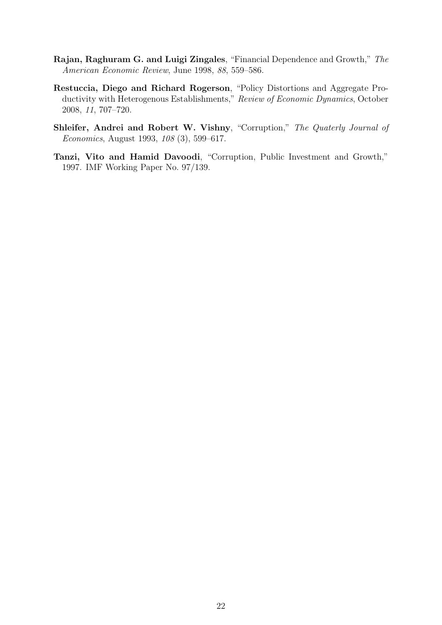- <span id="page-22-1"></span>Rajan, Raghuram G. and Luigi Zingales, "Financial Dependence and Growth," The American Economic Review, June 1998, 88, 559–586.
- <span id="page-22-0"></span>Restuccia, Diego and Richard Rogerson, "Policy Distortions and Aggregate Productivity with Heterogenous Establishments," Review of Economic Dynamics, October 2008, 11, 707–720.
- <span id="page-22-2"></span>Shleifer, Andrei and Robert W. Vishny, "Corruption," The Quaterly Journal of Economics, August 1993, 108 (3), 599–617.
- <span id="page-22-3"></span>Tanzi, Vito and Hamid Davoodi, "Corruption, Public Investment and Growth," 1997. IMF Working Paper No. 97/139.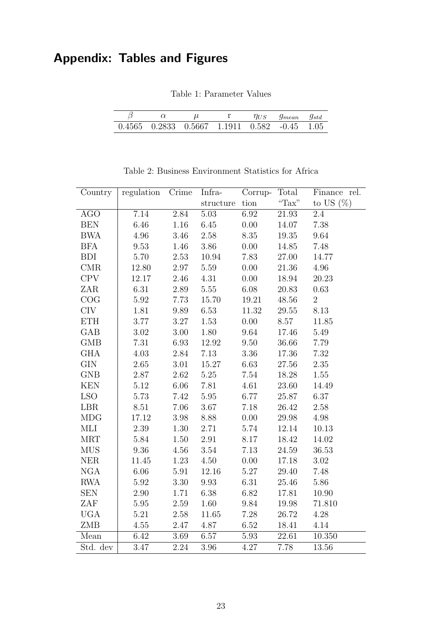## <span id="page-23-0"></span>Appendix: Tables and Figures

Table 1: Parameter Values

|                                                            |  |  | Thus 9 <sub>mean</sub> 9std |  |
|------------------------------------------------------------|--|--|-----------------------------|--|
| $0.4565$ $0.2833$ $0.5667$ $1.1911$ $0.582$ $-0.45$ $1.05$ |  |  |                             |  |

<span id="page-23-1"></span>

| Country      | regulation Crime  |          | Infra-    | Corrup-             | Total     | Finance rel.   |
|--------------|-------------------|----------|-----------|---------------------|-----------|----------------|
|              |                   |          | structure | tion                | "Tax"     | to US $(\%)$   |
| <b>AGO</b>   | 7.14              | 2.84     | $5.03\,$  | 6.92                | 21.93     | 2.4            |
| <b>BEN</b>   | 6.46              | $1.16\,$ | 6.45      | $0.00\,$            | 14.07     | 7.38           |
| <b>BWA</b>   | 4.96              | $3.46\,$ | 2.58      | 8.35                | $19.35\,$ | 9.64           |
| <b>BFA</b>   | 9.53              | 1.46     | $3.86\,$  | $0.00\,$            | 14.85     | 7.48           |
| <b>BDI</b>   | 5.70              | 2.53     | 10.94     | 7.83                | 27.00     | 14.77          |
| CMR          | 12.80             | $2.97\,$ | $5.59\,$  | $0.00\,$            | $21.36\,$ | 4.96           |
| <b>CPV</b>   | 12.17             | $2.46\,$ | 4.31      | $0.00\,$            | 18.94     | 20.23          |
| ZAR          | 6.31              | $2.89\,$ | 5.55      | 6.08                | 20.83     | 0.63           |
| COG          | 5.92              | 7.73     | 15.70     | 19.21               | $48.56\,$ | $\overline{2}$ |
| <b>CIV</b>   | 1.81              | 9.89     | 6.53      | 11.32               | 29.55     | 8.13           |
| <b>ETH</b>   | 3.77              | $3.27\,$ | 1.53      | 0.00                | 8.57      | 11.85          |
| GAB          | $3.02\,$          | $3.00\,$ | $1.80\,$  | 9.64                | 17.46     | 5.49           |
| GMB          | 7.31              | $6.93\,$ | 12.92     | 9.50                | 36.66     | 7.79           |
| <b>GHA</b>   | 4.03              | $2.84\,$ | $7.13\,$  | 3.36                | 17.36     | 7.32           |
| $\text{GIN}$ | $2.65\,$          | $3.01\,$ | 15.27     | 6.63                | $27.56\,$ | $2.35\,$       |
| <b>GNB</b>   | $2.87\,$          | 2.62     | $5.25\,$  | 7.54                | 18.28     | 1.55           |
| <b>KEN</b>   | $5.12\,$          | $6.06\,$ | 7.81      | $4.61\,$            | $23.60\,$ | 14.49          |
| <b>LSO</b>   | 5.73              | 7.42     | $5.95\,$  | 6.77                | 25.87     | 6.37           |
| LBR          | 8.51              | $7.06\,$ | 3.67      | 7.18                | 26.42     | 2.58           |
| <b>MDG</b>   | 17.12             | $3.98\,$ | 8.88      | 0.00                | $29.98\,$ | 4.98           |
| MLI          | 2.39              | $1.30\,$ | 2.71      | 5.74                | 12.14     | 10.13          |
| <b>MRT</b>   | $5.84\,$          | $1.50\,$ | 2.91      | $8.17\,$            | 18.42     | 14.02          |
| <b>MUS</b>   | 9.36              | $4.56\,$ | 3.54      | 7.13                | 24.59     | 36.53          |
| <b>NER</b>   | 11.45             | 1.23     | 4.50      | $0.00\,$            | 17.18     | 3.02           |
| <b>NGA</b>   | $6.06\,$          | $5.91\,$ | 12.16     | 5.27                | 29.40     | 7.48           |
| <b>RWA</b>   | 5.92              | 3.30     | 9.93      | 6.31                | 25.46     | 5.86           |
| <b>SEN</b>   | $2.90\,$          | 1.71     | 6.38      | $6.82\,$            | 17.81     | 10.90          |
| ZAF          | $5.95\,$          | 2.59     | 1.60      | $\boldsymbol{9.84}$ | $19.98\,$ | 71.810         |
| <b>UGA</b>   | 5.21              | 2.58     | 11.65     | 7.28                | 26.72     | 4.28           |
| ZMB          | 4.55              | $2.47\,$ | 4.87      | 6.52                | $18.41\,$ | 4.14           |
| Mean         | 6.42              | 3.69     | 6.57      | 5.93                | 22.61     | 10.350         |
| Std. dev     | $\overline{3}.47$ | 2.24     | 3.96      | 4.27                | 7.78      | 13.56          |

Table 2: Business Environment Statistics for Africa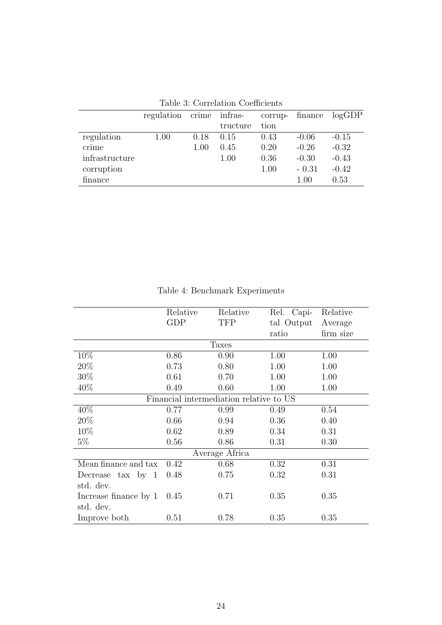<span id="page-24-0"></span>

| Table 9. Correlation Coemclents |            |      |               |         |         |         |
|---------------------------------|------------|------|---------------|---------|---------|---------|
|                                 | regulation |      | crime infras- | corrup- | finance | logGDP  |
|                                 |            |      | tructure      | tion    |         |         |
| regulation                      | $1.00\,$   | 0.18 | 0.15          | 0.43    | $-0.06$ | $-0.15$ |
| crime                           |            | 1.00 | 0.45          | 0.20    | $-0.26$ | $-0.32$ |
| infrastructure                  |            |      | 1.00          | 0.36    | $-0.30$ | $-0.43$ |
| corruption                      |            |      |               | 1.00    | $-0.31$ | $-0.42$ |
| finance                         |            |      |               |         | 1.00    | 0.53    |

<span id="page-24-1"></span>

|                       | Relative | Relative                                | Rel. Capi- | Relative  |
|-----------------------|----------|-----------------------------------------|------------|-----------|
|                       | GDP      | <b>TFP</b>                              | tal Output | Average   |
|                       |          |                                         | ratio      | firm size |
|                       |          | Taxes                                   |            |           |
| 10%                   | 0.86     | 0.90                                    | 1.00       | 1.00      |
| 20%                   | 0.73     | 0.80                                    | 1.00       | 1.00      |
| 30%                   | 0.61     | 0.70                                    | 1.00       | 1.00      |
| 40\%                  | 0.49     | 0.60                                    | 1.00       | 1.00      |
|                       |          | Financial intermediation relative to US |            |           |
| 40%                   | 0.77     | 0.99                                    | 0.49       | 0.54      |
| 20%                   | 0.66     | 0.94                                    | 0.36       | 0.40      |
| 10\%                  | 0.62     | 0.89                                    | 0.34       | 0.31      |
| $5\%$                 | 0.56     | 0.86                                    | 0.31       | 0.30      |
|                       |          | Average Africa                          |            |           |
| Mean finance and tax  | 0.42     | 0.68                                    | 0.32       | 0.31      |
| Decrease tax by $1$   | 0.48     | 0.75                                    | 0.32       | 0.31      |
| std. dev.             |          |                                         |            |           |
| Increase finance by 1 | 0.45     | 0.71                                    | 0.35       | 0.35      |
| std. dev.             |          |                                         |            |           |
| Improve both          | 0.51     | 0.78                                    | 0.35       | 0.35      |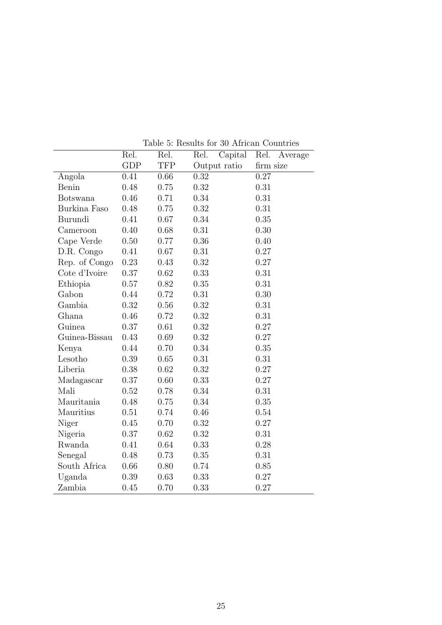<span id="page-25-0"></span>

|                 | Rel.       | Rel.       | Capital<br>Rel. | Rel.<br>Average |
|-----------------|------------|------------|-----------------|-----------------|
|                 | <b>GDP</b> | <b>TFP</b> | Output ratio    | firm size       |
| Angola          | 0.41       | 0.66       | 0.32            | 0.27            |
| Benin           | 0.48       | 0.75       | 0.32            | 0.31            |
| <b>Botswana</b> | 0.46       | 0.71       | 0.34            | 0.31            |
| Burkina Faso    | 0.48       | 0.75       | 0.32            | 0.31            |
| Burundi         | 0.41       | 0.67       | 0.34            | 0.35            |
| Cameroon        | 0.40       | 0.68       | 0.31            | 0.30            |
| Cape Verde      | 0.50       | 0.77       | 0.36            | 0.40            |
| D.R. Congo      | 0.41       | 0.67       | 0.31            | 0.27            |
| Rep. of Congo   | 0.23       | 0.43       | 0.32            | 0.27            |
| Cote d'Ivoire   | 0.37       | 0.62       | 0.33            | 0.31            |
| Ethiopia        | 0.57       | 0.82       | 0.35            | 0.31            |
| Gabon           | 0.44       | 0.72       | 0.31            | 0.30            |
| Gambia          | 0.32       | 0.56       | 0.32            | 0.31            |
| Ghana           | 0.46       | 0.72       | 0.32            | 0.31            |
| Guinea          | 0.37       | 0.61       | 0.32            | 0.27            |
| Guinea-Bissau   | 0.43       | 0.69       | 0.32            | 0.27            |
| Kenya           | 0.44       | 0.70       | 0.34            | 0.35            |
| Lesotho         | 0.39       | 0.65       | 0.31            | 0.31            |
| Liberia         | 0.38       | 0.62       | 0.32            | 0.27            |
| Madagascar      | 0.37       | 0.60       | 0.33            | 0.27            |
| Mali            | 0.52       | 0.78       | 0.34            | 0.31            |
| Mauritania      | 0.48       | 0.75       | 0.34            | 0.35            |
| Mauritius       | 0.51       | 0.74       | 0.46            | 0.54            |
| Niger           | 0.45       | 0.70       | 0.32            | 0.27            |
| Nigeria         | 0.37       | 0.62       | 0.32            | 0.31            |
| Rwanda          | 0.41       | 0.64       | 0.33            | 0.28            |
| Senegal         | 0.48       | 0.73       | 0.35            | 0.31            |
| South Africa    | 0.66       | 0.80       | 0.74            | 0.85            |
| Uganda          | 0.39       | 0.63       | 0.33            | 0.27            |
| Zambia          | 0.45       | 0.70       | 0.33            | 0.27            |

Table 5: Results for 30 African Countries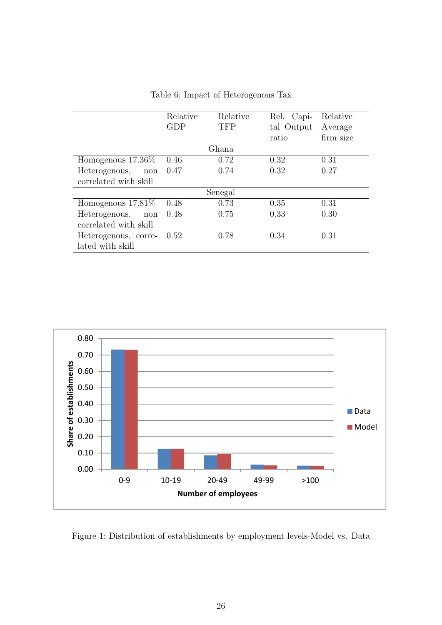<span id="page-26-1"></span>

|                       | Relative   | Relative   | Rel. Capi- | Relative  |
|-----------------------|------------|------------|------------|-----------|
|                       | <b>GDP</b> | <b>TFP</b> | tal Output | Average   |
|                       |            |            | ratio      | firm size |
|                       |            | Ghana      |            |           |
| Homogenous $17.36\%$  | 0.46       | 0.72       | 0.32       | 0.31      |
| Heterogenous,<br>non  | 0.47       | 0.74       | 0.32       | 0.27      |
| correlated with skill |            |            |            |           |
|                       |            | Senegal    |            |           |
| Homogenous $17.81\%$  | 0.48       | 0.73       | 0.35       | 0.31      |
| Heterogenous,<br>non  | 0.48       | 0.75       | 0.33       | 0.30      |
| correlated with skill |            |            |            |           |
| Heterogenous, corre-  | 0.52       | 0.78       | 0.34       | 0.31      |
| lated with skill      |            |            |            |           |

Table 6: Impact of Heterogenous Tax



<span id="page-26-0"></span>Figure 1: Distribution of establishments by employment levels-Model vs. Data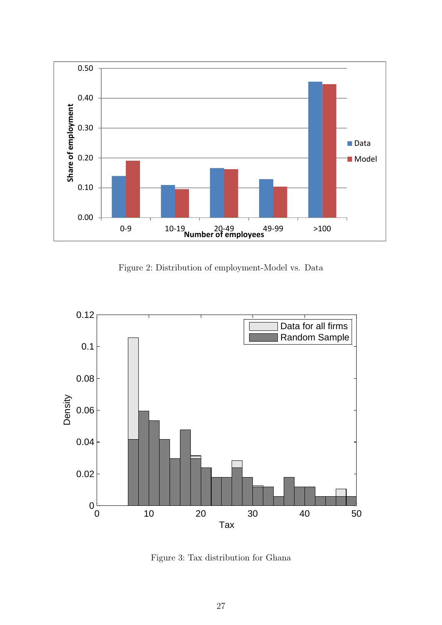

Figure 2: Distribution of employment-Model vs. Data

<span id="page-27-0"></span>

<span id="page-27-1"></span>Figure 3: Tax distribution for Ghana